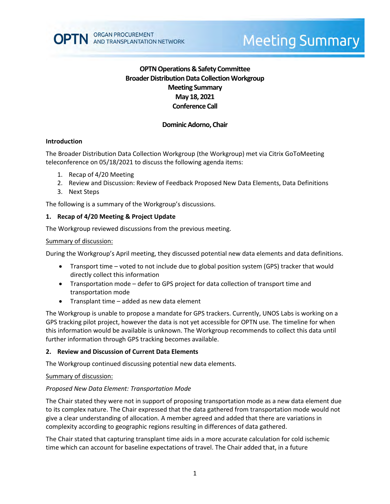# **OPTN Operations & Safety Committee Broader Distribution Data Collection Workgroup Meeting Summary May 18, 2021 Conference Call**

## **Dominic Adorno, Chair**

## **Introduction**

The Broader Distribution Data Collection Workgroup (the Workgroup) met via Citrix GoToMeeting teleconference on 05/18/2021 to discuss the following agenda items:

- 1. Recap of 4/20 Meeting
- 2. Review and Discussion: Review of Feedback Proposed New Data Elements, Data Definitions
- 3. Next Steps

The following is a summary of the Workgroup's discussions.

#### **1. Recap of 4/20 Meeting & Project Update**

The Workgroup reviewed discussions from the previous meeting.

#### Summary of discussion:

During the Workgroup's April meeting, they discussed potential new data elements and data definitions.

- Transport time voted to not include due to global position system (GPS) tracker that would directly collect this information
- Transportation mode defer to GPS project for data collection of transport time and transportation mode
- Transplant time added as new data element

The Workgroup is unable to propose a mandate for GPS trackers. Currently, UNOS Labs is working on a GPS tracking pilot project, however the data is not yet accessible for OPTN use. The timeline for when this information would be available is unknown. The Workgroup recommends to collect this data until further information through GPS tracking becomes available.

#### **2. Review and Discussion of Current Data Elements**

The Workgroup continued discussing potential new data elements.

#### Summary of discussion:

#### *Proposed New Data Element: Transportation Mode*

The Chair stated they were not in support of proposing transportation mode as a new data element due to its complex nature. The Chair expressed that the data gathered from transportation mode would not give a clear understanding of allocation. A member agreed and added that there are variations in complexity according to geographic regions resulting in differences of data gathered.

The Chair stated that capturing transplant time aids in a more accurate calculation for cold ischemic time which can account for baseline expectations of travel. The Chair added that, in a future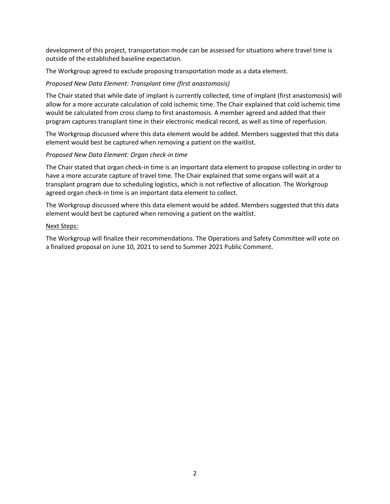development of this project, transportation mode can be assessed for situations where travel time is outside of the established baseline expectation.

The Workgroup agreed to exclude proposing transportation mode as a data element.

## *Proposed New Data Element: Transplant time (first anastomosis)*

The Chair stated that while date of implant is currently collected, time of implant (first anastomosis) will allow for a more accurate calculation of cold ischemic time. The Chair explained that cold ischemic time would be calculated from cross clamp to first anastomosis. A member agreed and added that their program captures transplant time in their electronic medical record, as well as time of reperfusion.

The Workgroup discussed where this data element would be added. Members suggested that this data element would best be captured when removing a patient on the waitlist.

## *Proposed New Data Element: Organ check-in time*

The Chair stated that organ check-in time is an important data element to propose collecting in order to have a more accurate capture of travel time. The Chair explained that some organs will wait at a transplant program due to scheduling logistics, which is not reflective of allocation. The Workgroup agreed organ check-in time is an important data element to collect.

The Workgroup discussed where this data element would be added. Members suggested that this data element would best be captured when removing a patient on the waitlist.

## Next Steps:

The Workgroup will finalize their recommendations. The Operations and Safety Committee will vote on a finalized proposal on June 10, 2021 to send to Summer 2021 Public Comment.